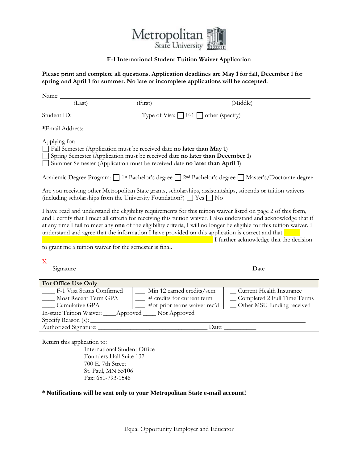

# **F-1 International Student Tuition Waiver Application**

**Please print and complete all questions**. **Application deadlines are May 1 for fall, December 1 for spring and April 1 for summer. No late or incomplete applications will be accepted.**

| Name:                                                                                                                                                                                                                                                      |                                                                                 |                              |                                                                                                                                                                                                                                                                                           |
|------------------------------------------------------------------------------------------------------------------------------------------------------------------------------------------------------------------------------------------------------------|---------------------------------------------------------------------------------|------------------------------|-------------------------------------------------------------------------------------------------------------------------------------------------------------------------------------------------------------------------------------------------------------------------------------------|
| (Last)                                                                                                                                                                                                                                                     | (First)                                                                         |                              | (Middle)                                                                                                                                                                                                                                                                                  |
| Student ID:                                                                                                                                                                                                                                                | Type of Visa: $\Box$ F-1 $\Box$ other (specify) $\Box$                          |                              |                                                                                                                                                                                                                                                                                           |
| *Email Address: _                                                                                                                                                                                                                                          |                                                                                 |                              |                                                                                                                                                                                                                                                                                           |
| Applying for:<br>$\Box$ Fall Semester (Application must be received date no later than May 1)<br>Spring Semester (Application must be received date no later than December 1)<br>Summer Semester (Application must be received date no later than April 1) |                                                                                 |                              |                                                                                                                                                                                                                                                                                           |
|                                                                                                                                                                                                                                                            |                                                                                 |                              | Academic Degree Program: 1 <sup>st</sup> Bachelor's degree □ 2 <sup>nd</sup> Bachelor's degree □ Master's/Doctorate degree                                                                                                                                                                |
| Are you receiving other Metropolitan State grants, scholarships, assistantships, stipends or tuition waivers<br>(including scholarships from the University Foundation?) $\Box$ Yes $\Box$ No                                                              |                                                                                 |                              |                                                                                                                                                                                                                                                                                           |
| I have read and understand the eligibility requirements for this tuition waiver listed on page 2 of this form,<br>understand and agree that the information I have provided on this application is correct and that                                        |                                                                                 |                              | and I certify that I meet all criteria for receiving this tuition waiver. I also understand and acknowledge that if<br>at any time I fail to meet any one of the eligibility criteria, I will no longer be eligible for this tuition waiver. I<br>I further acknowledge that the decision |
| to grant me a tuition waiver for the semester is final.                                                                                                                                                                                                    |                                                                                 |                              |                                                                                                                                                                                                                                                                                           |
|                                                                                                                                                                                                                                                            |                                                                                 |                              |                                                                                                                                                                                                                                                                                           |
| Signature                                                                                                                                                                                                                                                  | Date                                                                            |                              |                                                                                                                                                                                                                                                                                           |
| For Office Use Only                                                                                                                                                                                                                                        |                                                                                 |                              |                                                                                                                                                                                                                                                                                           |
| ___ F-1 Visa Status Confirmed<br>Most Recent Term GPA<br>Cumulative GPA<br>In-state Tuition Waiver: ____Approved ____ Not Approved                                                                                                                         | __ Min 12 earned credits/sem<br>$\frac{1}{\sqrt{2}}$ # credits for current term | #of prior terms waiver rec'd | _Current Health Insurance<br>_Completed 2 Full Time Terms<br>Other MSU funding received                                                                                                                                                                                                   |
| Authorized Signature:                                                                                                                                                                                                                                      |                                                                                 | Date:                        |                                                                                                                                                                                                                                                                                           |

Return this application to:

International Student Office Founders Hall Suite 137 700 E. 7th Street St. Paul, MN 55106 Fax: 651-793-1546

## **\* Notifications will be sent only to your Metropolitan State e-mail account!**